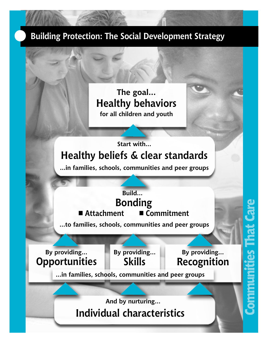#### **Building Protection: The Social Development Strategy**

#### **The goal... Healthy behaviors for all children and youth**

### **Start with... Healthy beliefs & clear standards**

**...in families, schools, communities and peer groups**

## **Bonding Build...**

■ Attachment ■ Commitment

**...to families, schools, communities and peer groups**

**Opportunities** Skills **Recognition By providing... By providing...**

**By providing...**

**...in families, schools, communities and peer groups**

**Individual characteristics And by nurturing...**